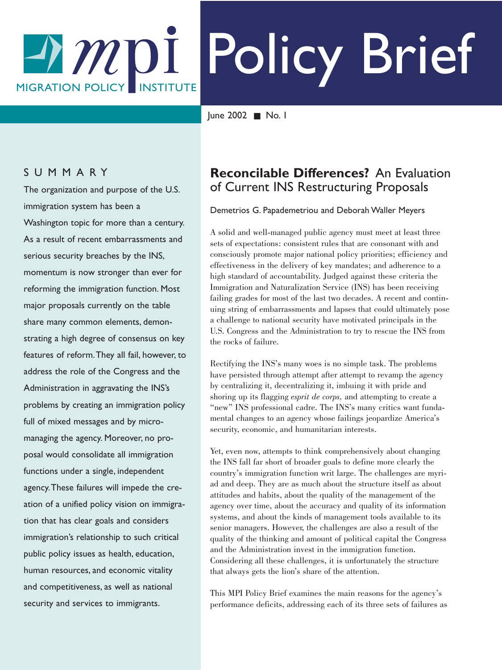# Policy Brief  $-1MDI$ **MIGRATION POLICY** INSTITUTE

June 2002 ■ No. 1

### SUMMARY

The organization and purpose of the U.S. immigration system has been a Washington topic for more than a century. As a result of recent embarrassments and serious security breaches by the INS, momentum is now stronger than ever for reforming the immigration function. Most major proposals currently on the table share many common elements, demonstrating a high degree of consensus on key features of reform.They all fail, however, to address the role of the Congress and the Administration in aggravating the INS's problems by creating an immigration policy full of mixed messages and by micromanaging the agency. Moreover, no proposal would consolidate all immigration functions under a single, independent agency.These failures will impede the creation of a unified policy vision on immigration that has clear goals and considers immigration's relationship to such critical public policy issues as health, education, human resources, and economic vitality and competitiveness, as well as national security and services to immigrants.

# **Reconcilable Differences?** An Evaluation of Current INS Restructuring Proposals

#### Demetrios G. Papademetriou and Deborah Waller Meyers

A solid and well-managed public agency must meet at least three sets of expectations: consistent rules that are consonant with and consciously promote major national policy priorities; efficiency and effectiveness in the delivery of key mandates; and adherence to a high standard of accountability. Judged against these criteria the Immigration and Naturalization Service (INS) has been receiving failing grades for most of the last two decades. A recent and continuing string of embarrassments and lapses that could ultimately pose a challenge to national security have motivated principals in the U.S. Congress and the Administration to try to rescue the INS from the rocks of failure.

Rectifying the INS's many woes is no simple task. The problems have persisted through attempt after attempt to revamp the agency by centralizing it, decentralizing it, imbuing it with pride and shoring up its flagging *esprit de corps,* and attempting to create a "new" INS professional cadre. The INS's many critics want fundamental changes to an agency whose failings jeopardize America's security, economic, and humanitarian interests.

Yet, even now, attempts to think comprehensively about changing the INS fall far short of broader goals to define more clearly the country's immigration function writ large. The challenges are myriad and deep. They are as much about the structure itself as about attitudes and habits, about the quality of the management of the agency over time, about the accuracy and quality of its information systems, and about the kinds of management tools available to its senior managers. However, the challenges are also a result of the quality of the thinking and amount of political capital the Congress and the Administration invest in the immigration function. Considering all these challenges, it is unfortunately the structure that always gets the lion's share of the attention.

This MPI Policy Brief examines the main reasons for the agency's performance deficits, addressing each of its three sets of failures as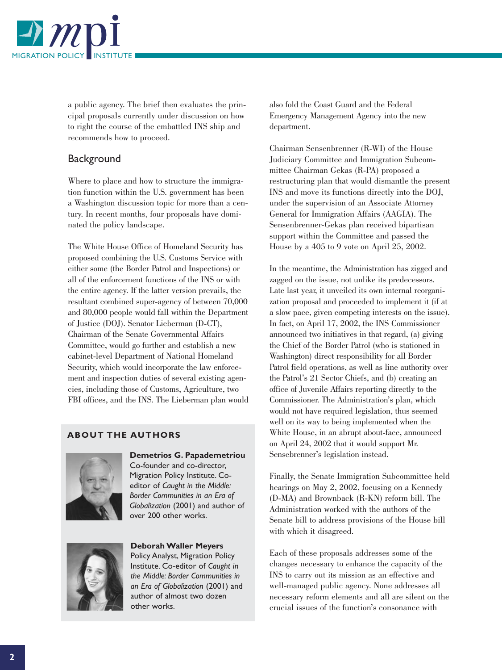

a public agency. The brief then evaluates the principal proposals currently under discussion on how to right the course of the embattled INS ship and recommends how to proceed.

### **Background**

Where to place and how to structure the immigration function within the U.S. government has been a Washington discussion topic for more than a century. In recent months, four proposals have dominated the policy landscape.

The White House Office of Homeland Security has proposed combining the U.S. Customs Service with either some (the Border Patrol and Inspections) or all of the enforcement functions of the INS or with the entire agency. If the latter version prevails, the resultant combined super-agency of between 70,000 and 80,000 people would fall within the Department of Justice (DOJ). Senator Lieberman (D-CT), Chairman of the Senate Governmental Affairs Committee, would go further and establish a new cabinet-level Department of National Homeland Security, which would incorporate the law enforcement and inspection duties of several existing agencies, including those of Customs, Agriculture, two FBI offices, and the INS. The Lieberman plan would

#### **ABOUT THE AUTHORS**



**Demetrios G. Papademetriou** Co-founder and co-director, Migration Policy Institute. Coeditor of *Caught in the Middle: Border Communities in an Era of Globalization* (2001) and author of over 200 other works.



**Deborah Waller Meyers** Policy Analyst, Migration Policy

Institute. Co-editor of *Caught in the Middle: Border Communities in an Era of Globalization* (2001) and author of almost two dozen other works.

also fold the Coast Guard and the Federal Emergency Management Agency into the new department.

Chairman Sensenbrenner (R-WI) of the House Judiciary Committee and Immigration Subcommittee Chairman Gekas (R-PA) proposed a restructuring plan that would dismantle the present INS and move its functions directly into the DOJ, under the supervision of an Associate Attorney General for Immigration Affairs (AAGIA). The Sensenbrenner-Gekas plan received bipartisan support within the Committee and passed the House by a 405 to 9 vote on April 25, 2002.

In the meantime, the Administration has zigged and zagged on the issue, not unlike its predecessors. Late last year, it unveiled its own internal reorganization proposal and proceeded to implement it (if at a slow pace, given competing interests on the issue). In fact, on April 17, 2002, the INS Commissioner announced two initiatives in that regard, (a) giving the Chief of the Border Patrol (who is stationed in Washington) direct responsibility for all Border Patrol field operations, as well as line authority over the Patrol's 21 Sector Chiefs, and (b) creating an office of Juvenile Affairs reporting directly to the Commissioner. The Administration's plan, which would not have required legislation, thus seemed well on its way to being implemented when the White House, in an abrupt about-face, announced on April 24, 2002 that it would support Mr. Sensebrenner's legislation instead.

Finally, the Senate Immigration Subcommittee held hearings on May 2, 2002, focusing on a Kennedy (D-MA) and Brownback (R-KN) reform bill. The Administration worked with the authors of the Senate bill to address provisions of the House bill with which it disagreed.

Each of these proposals addresses some of the changes necessary to enhance the capacity of the INS to carry out its mission as an effective and well-managed public agency. None addresses all necessary reform elements and all are silent on the crucial issues of the function's consonance with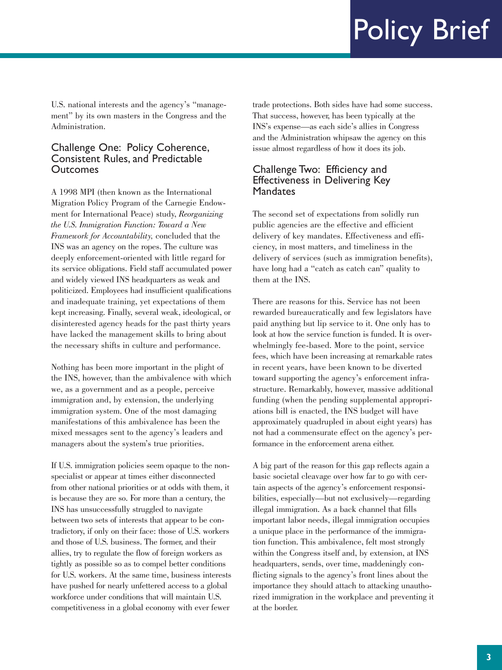U.S. national interests and the agency's "management" by its own masters in the Congress and the Administration.

#### Challenge One: Policy Coherence, Consistent Rules, and Predictable **Outcomes**

A 1998 MPI (then known as the International Migration Policy Program of the Carnegie Endowment for International Peace) study, *Reorganizing the U.S. Immigration Function: Toward a New Framework for Accountability,* concluded that the INS was an agency on the ropes. The culture was deeply enforcement-oriented with little regard for its service obligations. Field staff accumulated power and widely viewed INS headquarters as weak and politicized. Employees had insufficient qualifications and inadequate training, yet expectations of them kept increasing. Finally, several weak, ideological, or disinterested agency heads for the past thirty years have lacked the management skills to bring about the necessary shifts in culture and performance.

Nothing has been more important in the plight of the INS, however, than the ambivalence with which we, as a government and as a people, perceive immigration and, by extension, the underlying immigration system. One of the most damaging manifestations of this ambivalence has been the mixed messages sent to the agency's leaders and managers about the system's true priorities.

If U.S. immigration policies seem opaque to the nonspecialist or appear at times either disconnected from other national priorities or at odds with them, it is because they are so. For more than a century, the INS has unsuccessfully struggled to navigate between two sets of interests that appear to be contradictory, if only on their face: those of U.S. workers and those of U.S. business. The former, and their allies, try to regulate the flow of foreign workers as tightly as possible so as to compel better conditions for U.S. workers. At the same time, business interests have pushed for nearly unfettered access to a global workforce under conditions that will maintain U.S. competitiveness in a global economy with ever fewer

trade protections. Both sides have had some success. That success, however, has been typically at the INS's expense—as each side's allies in Congress and the Administration whipsaw the agency on this issue almost regardless of how it does its job.

#### Challenge Two: Efficiency and Effectiveness in Delivering Key **Mandates**

The second set of expectations from solidly run public agencies are the effective and efficient delivery of key mandates. Effectiveness and efficiency, in most matters, and timeliness in the delivery of services (such as immigration benefits), have long had a "catch as catch can" quality to them at the INS.

There are reasons for this. Service has not been rewarded bureaucratically and few legislators have paid anything but lip service to it. One only has to look at how the service function is funded. It is overwhelmingly fee-based. More to the point, service fees, which have been increasing at remarkable rates in recent years, have been known to be diverted toward supporting the agency's enforcement infrastructure. Remarkably, however, massive additional funding (when the pending supplemental appropriations bill is enacted, the INS budget will have approximately quadrupled in about eight years) has not had a commensurate effect on the agency's performance in the enforcement arena either.

A big part of the reason for this gap reflects again a basic societal cleavage over how far to go with certain aspects of the agency's enforcement responsibilities, especially—but not exclusively—regarding illegal immigration. As a back channel that fills important labor needs, illegal immigration occupies a unique place in the performance of the immigration function. This ambivalence, felt most strongly within the Congress itself and, by extension, at INS headquarters, sends, over time, maddeningly conflicting signals to the agency's front lines about the importance they should attach to attacking unauthorized immigration in the workplace and preventing it at the border.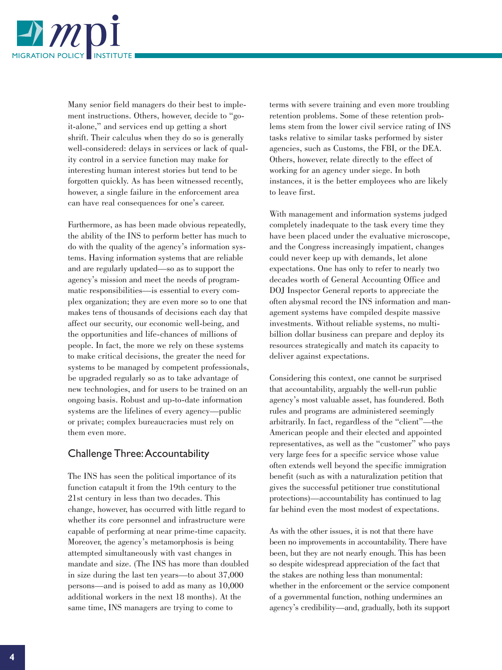

Many senior field managers do their best to implement instructions. Others, however, decide to "goit-alone," and services end up getting a short shrift. Their calculus when they do so is generally well-considered: delays in services or lack of quality control in a service function may make for interesting human interest stories but tend to be forgotten quickly. As has been witnessed recently, however, a single failure in the enforcement area can have real consequences for one's career.

Furthermore, as has been made obvious repeatedly, the ability of the INS to perform better has much to do with the quality of the agency's information systems. Having information systems that are reliable and are regularly updated—so as to support the agency's mission and meet the needs of programmatic responsibilities—is essential to every complex organization; they are even more so to one that makes tens of thousands of decisions each day that affect our security, our economic well-being, and the opportunities and life-chances of millions of people. In fact, the more we rely on these systems to make critical decisions, the greater the need for systems to be managed by competent professionals, be upgraded regularly so as to take advantage of new technologies, and for users to be trained on an ongoing basis. Robust and up-to-date information systems are the lifelines of every agency—public or private; complex bureaucracies must rely on them even more.

## Challenge Three:Accountability

The INS has seen the political importance of its function catapult it from the 19th century to the 21st century in less than two decades. This change, however, has occurred with little regard to whether its core personnel and infrastructure were capable of performing at near prime-time capacity. Moreover, the agency's metamorphosis is being attempted simultaneously with vast changes in mandate and size. (The INS has more than doubled in size during the last ten years—to about 37,000 persons—and is poised to add as many as 10,000 additional workers in the next 18 months). At the same time, INS managers are trying to come to

terms with severe training and even more troubling retention problems. Some of these retention problems stem from the lower civil service rating of INS tasks relative to similar tasks performed by sister agencies, such as Customs, the FBI, or the DEA. Others, however, relate directly to the effect of working for an agency under siege. In both instances, it is the better employees who are likely to leave first.

With management and information systems judged completely inadequate to the task every time they have been placed under the evaluative microscope, and the Congress increasingly impatient, changes could never keep up with demands, let alone expectations. One has only to refer to nearly two decades worth of General Accounting Office and DOJ Inspector General reports to appreciate the often abysmal record the INS information and management systems have compiled despite massive investments. Without reliable systems, no multibillion dollar business can prepare and deploy its resources strategically and match its capacity to deliver against expectations.

Considering this context, one cannot be surprised that accountability, arguably the well-run public agency's most valuable asset, has foundered. Both rules and programs are administered seemingly arbitrarily. In fact, regardless of the "client"—the American people and their elected and appointed representatives, as well as the "customer" who pays very large fees for a specific service whose value often extends well beyond the specific immigration benefit (such as with a naturalization petition that gives the successful petitioner true constitutional protections)—accountability has continued to lag far behind even the most modest of expectations.

As with the other issues, it is not that there have been no improvements in accountability. There have been, but they are not nearly enough. This has been so despite widespread appreciation of the fact that the stakes are nothing less than monumental: whether in the enforcement or the service component of a governmental function, nothing undermines an agency's credibility—and, gradually, both its support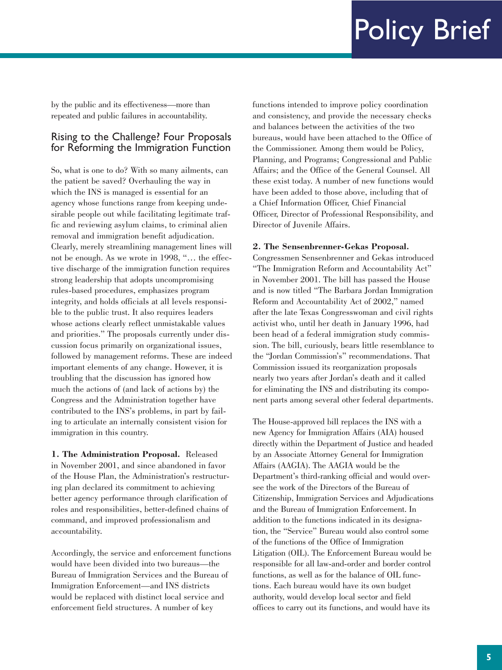by the public and its effectiveness—more than repeated and public failures in accountability.

### Rising to the Challenge? Four Proposals for Reforming the Immigration Function

So, what is one to do? With so many ailments, can the patient be saved? Overhauling the way in which the INS is managed is essential for an agency whose functions range from keeping undesirable people out while facilitating legitimate traffic and reviewing asylum claims, to criminal alien removal and immigration benefit adjudication. Clearly, merely streamlining management lines will not be enough. As we wrote in 1998, "… the effective discharge of the immigration function requires strong leadership that adopts uncompromising rules-based procedures, emphasizes program integrity, and holds officials at all levels responsible to the public trust. It also requires leaders whose actions clearly reflect unmistakable values and priorities." The proposals currently under discussion focus primarily on organizational issues, followed by management reforms. These are indeed important elements of any change. However, it is troubling that the discussion has ignored how much the actions of (and lack of actions by) the Congress and the Administration together have contributed to the INS's problems, in part by failing to articulate an internally consistent vision for immigration in this country.

**1. The Administration Proposal.** Released in November 2001, and since abandoned in favor of the House Plan, the Administration's restructuring plan declared its commitment to achieving better agency performance through clarification of roles and responsibilities, better-defined chains of command, and improved professionalism and accountability.

Accordingly, the service and enforcement functions would have been divided into two bureaus—the Bureau of Immigration Services and the Bureau of Immigration Enforcement—and INS districts would be replaced with distinct local service and enforcement field structures. A number of key

functions intended to improve policy coordination and consistency, and provide the necessary checks and balances between the activities of the two bureaus, would have been attached to the Office of the Commissioner. Among them would be Policy, Planning, and Programs; Congressional and Public Affairs; and the Office of the General Counsel. All these exist today. A number of new functions would have been added to those above, including that of a Chief Information Officer, Chief Financial Officer, Director of Professional Responsibility, and Director of Juvenile Affairs.

#### **2. The Sensenbrenner-Gekas Proposal.**

Congressmen Sensenbrenner and Gekas introduced "The Immigration Reform and Accountability Act" in November 2001. The bill has passed the House and is now titled "The Barbara Jordan Immigration Reform and Accountability Act of 2002," named after the late Texas Congresswoman and civil rights activist who, until her death in January 1996, had been head of a federal immigration study commission. The bill, curiously, bears little resemblance to the "Jordan Commission's" recommendations. That Commission issued its reorganization proposals nearly two years after Jordan's death and it called for eliminating the INS and distributing its component parts among several other federal departments.

The House-approved bill replaces the INS with a new Agency for Immigration Affairs (AIA) housed directly within the Department of Justice and headed by an Associate Attorney General for Immigration Affairs (AAGIA). The AAGIA would be the Department's third-ranking official and would oversee the work of the Directors of the Bureau of Citizenship, Immigration Services and Adjudications and the Bureau of Immigration Enforcement. In addition to the functions indicated in its designation, the "Service" Bureau would also control some of the functions of the Office of Immigration Litigation (OIL). The Enforcement Bureau would be responsible for all law-and-order and border control functions, as well as for the balance of OIL functions. Each bureau would have its own budget authority, would develop local sector and field offices to carry out its functions, and would have its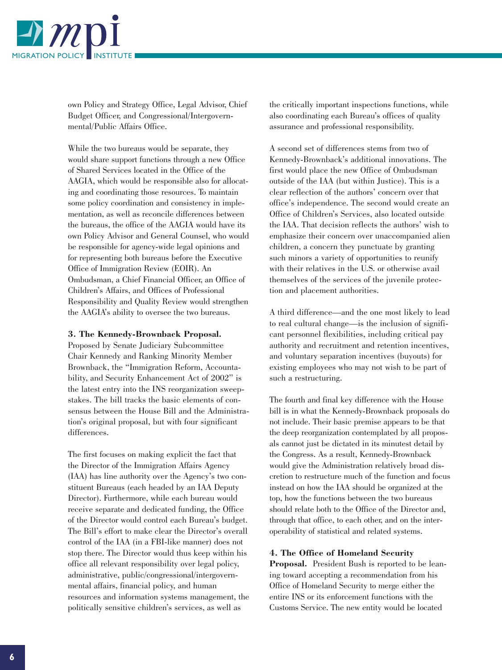

own Policy and Strategy Office, Legal Advisor, Chief Budget Officer, and Congressional/Intergovernmental/Public Affairs Office.

While the two bureaus would be separate, they would share support functions through a new Office of Shared Services located in the Office of the AAGIA, which would be responsible also for allocating and coordinating those resources. To maintain some policy coordination and consistency in implementation, as well as reconcile differences between the bureaus, the office of the AAGIA would have its own Policy Advisor and General Counsel, who would be responsible for agency-wide legal opinions and for representing both bureaus before the Executive Office of Immigration Review (EOIR). An Ombudsman, a Chief Financial Officer, an Office of Children's Affairs, and Offices of Professional Responsibility and Quality Review would strengthen the AAGIA's ability to oversee the two bureaus.

#### **3. The Kennedy-Brownback Proposal.**

Proposed by Senate Judiciary Subcommittee Chair Kennedy and Ranking Minority Member Brownback, the "Immigration Reform, Accountability, and Security Enhancement Act of 2002" is the latest entry into the INS reorganization sweepstakes. The bill tracks the basic elements of consensus between the House Bill and the Administration's original proposal, but with four significant differences.

The first focuses on making explicit the fact that the Director of the Immigration Affairs Agency (IAA) has line authority over the Agency's two constituent Bureaus (each headed by an IAA Deputy Director). Furthermore, while each bureau would receive separate and dedicated funding, the Office of the Director would control each Bureau's budget. The Bill's effort to make clear the Director's overall control of the IAA (in a FBI-like manner) does not stop there. The Director would thus keep within his office all relevant responsibility over legal policy, administrative, public/congressional/intergovernmental affairs, financial policy, and human resources and information systems management, the politically sensitive children's services, as well as

the critically important inspections functions, while also coordinating each Bureau's offices of quality assurance and professional responsibility.

A second set of differences stems from two of Kennedy-Brownback's additional innovations. The first would place the new Office of Ombudsman outside of the IAA (but within Justice). This is a clear reflection of the authors' concern over that office's independence. The second would create an Office of Children's Services, also located outside the IAA. That decision reflects the authors' wish to emphasize their concern over unaccompanied alien children, a concern they punctuate by granting such minors a variety of opportunities to reunify with their relatives in the U.S. or otherwise avail themselves of the services of the juvenile protection and placement authorities.

A third difference—and the one most likely to lead to real cultural change—is the inclusion of significant personnel flexibilities, including critical pay authority and recruitment and retention incentives, and voluntary separation incentives (buyouts) for existing employees who may not wish to be part of such a restructuring.

The fourth and final key difference with the House bill is in what the Kennedy-Brownback proposals do not include. Their basic premise appears to be that the deep reorganization contemplated by all proposals cannot just be dictated in its minutest detail by the Congress. As a result, Kennedy-Brownback would give the Administration relatively broad discretion to restructure much of the function and focus instead on how the IAA should be organized at the top, how the functions between the two bureaus should relate both to the Office of the Director and, through that office, to each other, and on the interoperability of statistical and related systems.

#### **4. The Office of Homeland Security**

**Proposal.** President Bush is reported to be leaning toward accepting a recommendation from his Office of Homeland Security to merge either the entire INS or its enforcement functions with the Customs Service. The new entity would be located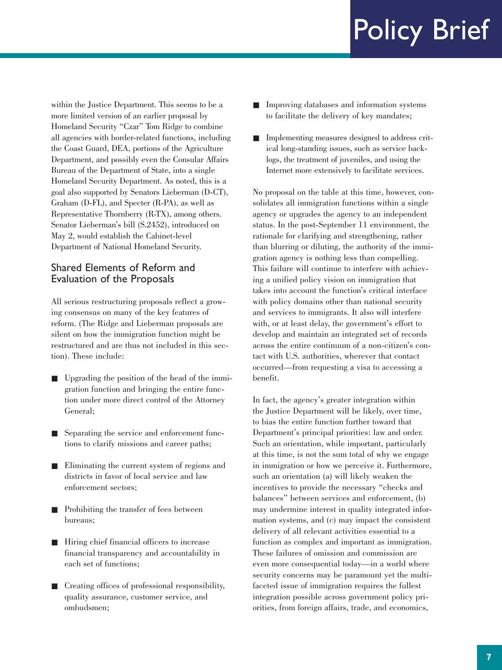within the Justice Department. This seems to be a more limited version of an earlier proposal by Homeland Security "Czar" Tom Ridge to combine all agencies with border-related functions, including the Coast Guard, DEA, portions of the Agriculture Department, and possibly even the Consular Affairs Bureau of the Department of State, into a single Homeland Security Department. As noted, this is a goal also supported by Senators Lieberman (D-CT), Graham (D-FL), and Specter (R-PA), as well as Representative Thornberry (R-TX), among others. Senator Lieberman's bill (S.2452), introduced on May 2, would establish the Cabinet-level Department of National Homeland Security.

### Shared Elements of Reform and Evaluation of the Proposals

All serious restructuring proposals reflect a growing consensus on many of the key features of reform. (The Ridge and Lieberman proposals are silent on how the immigration function might be restructured and are thus not included in this section). These include:

- Upgrading the position of the head of the immigration function and bringing the entire function under more direct control of the Attorney General;
- Separating the service and enforcement functions to clarify missions and career paths;
- Eliminating the current system of regions and districts in favor of local service and law enforcement sectors;
- Prohibiting the transfer of fees between bureaus;
- Hiring chief financial officers to increase financial transparency and accountability in each set of functions;
- Creating offices of professional responsibility, quality assurance, customer service, and ombudsmen;
- Improving databases and information systems to facilitate the delivery of key mandates;
- Implementing measures designed to address critical long-standing issues, such as service backlogs, the treatment of juveniles, and using the Internet more extensively to facilitate services.

No proposal on the table at this time, however, consolidates all immigration functions within a single agency or upgrades the agency to an independent status. In the post-September 11 environment, the rationale for clarifying and strengthening, rather than blurring or diluting, the authority of the immigration agency is nothing less than compelling. This failure will continue to interfere with achieving a unified policy vision on immigration that takes into account the function's critical interface with policy domains other than national security and services to immigrants. It also will interfere with, or at least delay, the government's effort to develop and maintain an integrated set of records across the entire continuum of a non-citizen's contact with U.S. authorities, wherever that contact occurred—from requesting a visa to accessing a benefit.

In fact, the agency's greater integration within the Justice Department will be likely, over time, to bias the entire function further toward that Department's principal priorities: law and order. Such an orientation, while important, particularly at this time, is not the sum total of why we engage in immigration or how we perceive it. Furthermore, such an orientation (a) will likely weaken the incentives to provide the necessary "checks and balances" between services and enforcement, (b) may undermine interest in quality integrated information systems, and (c) may impact the consistent delivery of all relevant activities essential to a function as complex and important as immigration. These failures of omission and commission are even more consequential today—in a world where security concerns may be paramount yet the multifaceted issue of immigration requires the fullest integration possible across government policy priorities, from foreign affairs, trade, and economics,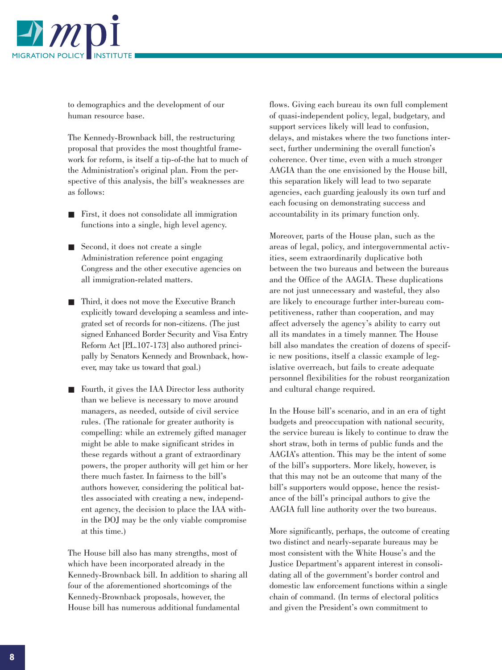

to demographics and the development of our human resource base.

The Kennedy-Brownback bill, the restructuring proposal that provides the most thoughtful framework for reform, is itself a tip-of-the hat to much of the Administration's original plan. From the perspective of this analysis, the bill's weaknesses are as follows:

- First, it does not consolidate all immigration functions into a single, high level agency.
- Second, it does not create a single Administration reference point engaging Congress and the other executive agencies on all immigration-related matters.
- Third, it does not move the Executive Branch explicitly toward developing a seamless and integrated set of records for non-citizens. (The just signed Enhanced Border Security and Visa Entry Reform Act [P.L.107-173] also authored principally by Senators Kennedy and Brownback, however, may take us toward that goal.)
- Fourth, it gives the IAA Director less authority than we believe is necessary to move around managers, as needed, outside of civil service rules. (The rationale for greater authority is compelling: while an extremely gifted manager might be able to make significant strides in these regards without a grant of extraordinary powers, the proper authority will get him or her there much faster. In fairness to the bill's authors however, considering the political battles associated with creating a new, independent agency, the decision to place the IAA within the DOJ may be the only viable compromise at this time.)

The House bill also has many strengths, most of which have been incorporated already in the Kennedy-Brownback bill. In addition to sharing all four of the aforementioned shortcomings of the Kennedy-Brownback proposals, however, the House bill has numerous additional fundamental

flows. Giving each bureau its own full complement of quasi-independent policy, legal, budgetary, and support services likely will lead to confusion, delays, and mistakes where the two functions intersect, further undermining the overall function's coherence. Over time, even with a much stronger AAGIA than the one envisioned by the House bill, this separation likely will lead to two separate agencies, each guarding jealously its own turf and each focusing on demonstrating success and accountability in its primary function only.

Moreover, parts of the House plan, such as the areas of legal, policy, and intergovernmental activities, seem extraordinarily duplicative both between the two bureaus and between the bureaus and the Office of the AAGIA. These duplications are not just unnecessary and wasteful, they also are likely to encourage further inter-bureau competitiveness, rather than cooperation, and may affect adversely the agency's ability to carry out all its mandates in a timely manner. The House bill also mandates the creation of dozens of specific new positions, itself a classic example of legislative overreach, but fails to create adequate personnel flexibilities for the robust reorganization and cultural change required.

In the House bill's scenario, and in an era of tight budgets and preoccupation with national security, the service bureau is likely to continue to draw the short straw, both in terms of public funds and the AAGIA's attention. This may be the intent of some of the bill's supporters. More likely, however, is that this may not be an outcome that many of the bill's supporters would oppose, hence the resistance of the bill's principal authors to give the AAGIA full line authority over the two bureaus.

More significantly, perhaps, the outcome of creating two distinct and nearly-separate bureaus may be most consistent with the White House's and the Justice Department's apparent interest in consolidating all of the government's border control and domestic law enforcement functions within a single chain of command. (In terms of electoral politics and given the President's own commitment to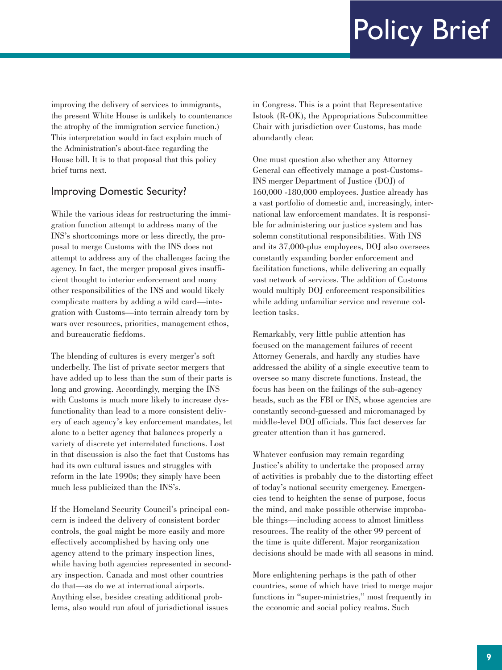improving the delivery of services to immigrants, the present White House is unlikely to countenance the atrophy of the immigration service function.) This interpretation would in fact explain much of the Administration's about-face regarding the House bill. It is to that proposal that this policy brief turns next.

# Improving Domestic Security?

While the various ideas for restructuring the immigration function attempt to address many of the INS's shortcomings more or less directly, the proposal to merge Customs with the INS does not attempt to address any of the challenges facing the agency. In fact, the merger proposal gives insufficient thought to interior enforcement and many other responsibilities of the INS and would likely complicate matters by adding a wild card—integration with Customs—into terrain already torn by wars over resources, priorities, management ethos, and bureaucratic fiefdoms.

The blending of cultures is every merger's soft underbelly. The list of private sector mergers that have added up to less than the sum of their parts is long and growing. Accordingly, merging the INS with Customs is much more likely to increase dysfunctionality than lead to a more consistent delivery of each agency's key enforcement mandates, let alone to a better agency that balances properly a variety of discrete yet interrelated functions. Lost in that discussion is also the fact that Customs has had its own cultural issues and struggles with reform in the late 1990s; they simply have been much less publicized than the INS's.

If the Homeland Security Council's principal concern is indeed the delivery of consistent border controls, the goal might be more easily and more effectively accomplished by having only one agency attend to the primary inspection lines, while having both agencies represented in secondary inspection. Canada and most other countries do that—as do we at international airports. Anything else, besides creating additional problems, also would run afoul of jurisdictional issues

in Congress. This is a point that Representative Istook (R-OK), the Appropriations Subcommittee Chair with jurisdiction over Customs, has made abundantly clear.

One must question also whether any Attorney General can effectively manage a post-Customs-INS merger Department of Justice (DOJ) of 160,000 -180,000 employees. Justice already has a vast portfolio of domestic and, increasingly, international law enforcement mandates. It is responsible for administering our justice system and has solemn constitutional responsibilities. With INS and its 37,000-plus employees, DOJ also oversees constantly expanding border enforcement and facilitation functions, while delivering an equally vast network of services. The addition of Customs would multiply DOJ enforcement responsibilities while adding unfamiliar service and revenue collection tasks.

Remarkably, very little public attention has focused on the management failures of recent Attorney Generals, and hardly any studies have addressed the ability of a single executive team to oversee so many discrete functions. Instead, the focus has been on the failings of the sub-agency heads, such as the FBI or INS, whose agencies are constantly second-guessed and micromanaged by middle-level DOJ officials. This fact deserves far greater attention than it has garnered.

Whatever confusion may remain regarding Justice's ability to undertake the proposed array of activities is probably due to the distorting effect of today's national security emergency. Emergencies tend to heighten the sense of purpose, focus the mind, and make possible otherwise improbable things—including access to almost limitless resources. The reality of the other 99 percent of the time is quite different. Major reorganization decisions should be made with all seasons in mind.

More enlightening perhaps is the path of other countries, some of which have tried to merge major functions in "super-ministries," most frequently in the economic and social policy realms. Such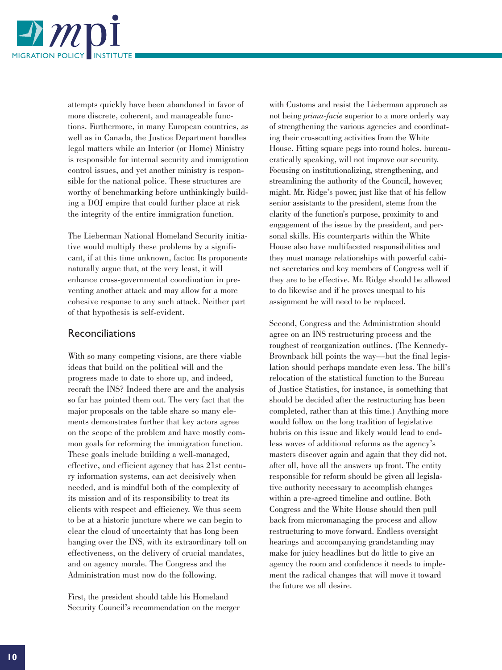

attempts quickly have been abandoned in favor of more discrete, coherent, and manageable functions. Furthermore, in many European countries, as well as in Canada, the Justice Department handles legal matters while an Interior (or Home) Ministry is responsible for internal security and immigration control issues, and yet another ministry is responsible for the national police. These structures are worthy of benchmarking before unthinkingly building a DOJ empire that could further place at risk the integrity of the entire immigration function.

The Lieberman National Homeland Security initiative would multiply these problems by a significant, if at this time unknown, factor. Its proponents naturally argue that, at the very least, it will enhance cross-governmental coordination in preventing another attack and may allow for a more cohesive response to any such attack. Neither part of that hypothesis is self-evident.

#### Reconciliations

With so many competing visions, are there viable ideas that build on the political will and the progress made to date to shore up, and indeed, recraft the INS? Indeed there are and the analysis so far has pointed them out. The very fact that the major proposals on the table share so many elements demonstrates further that key actors agree on the scope of the problem and have mostly common goals for reforming the immigration function. These goals include building a well-managed, effective, and efficient agency that has 21st century information systems, can act decisively when needed, and is mindful both of the complexity of its mission and of its responsibility to treat its clients with respect and efficiency. We thus seem to be at a historic juncture where we can begin to clear the cloud of uncertainty that has long been hanging over the INS, with its extraordinary toll on effectiveness, on the delivery of crucial mandates, and on agency morale. The Congress and the Administration must now do the following.

First, the president should table his Homeland Security Council's recommendation on the merger with Customs and resist the Lieberman approach as not being *prima-facie* superior to a more orderly way of strengthening the various agencies and coordinating their crosscutting activities from the White House. Fitting square pegs into round holes, bureaucratically speaking, will not improve our security. Focusing on institutionalizing, strengthening, and streamlining the authority of the Council, however, might. Mr. Ridge's power, just like that of his fellow senior assistants to the president, stems from the clarity of the function's purpose, proximity to and engagement of the issue by the president, and personal skills. His counterparts within the White House also have multifaceted responsibilities and they must manage relationships with powerful cabinet secretaries and key members of Congress well if they are to be effective. Mr. Ridge should be allowed to do likewise and if he proves unequal to his assignment he will need to be replaced.

Second, Congress and the Administration should agree on an INS restructuring process and the roughest of reorganization outlines. (The Kennedy-Brownback bill points the way—but the final legislation should perhaps mandate even less. The bill's relocation of the statistical function to the Bureau of Justice Statistics, for instance, is something that should be decided after the restructuring has been completed, rather than at this time.) Anything more would follow on the long tradition of legislative hubris on this issue and likely would lead to endless waves of additional reforms as the agency's masters discover again and again that they did not, after all, have all the answers up front. The entity responsible for reform should be given all legislative authority necessary to accomplish changes within a pre-agreed timeline and outline. Both Congress and the White House should then pull back from micromanaging the process and allow restructuring to move forward. Endless oversight hearings and accompanying grandstanding may make for juicy headlines but do little to give an agency the room and confidence it needs to implement the radical changes that will move it toward the future we all desire.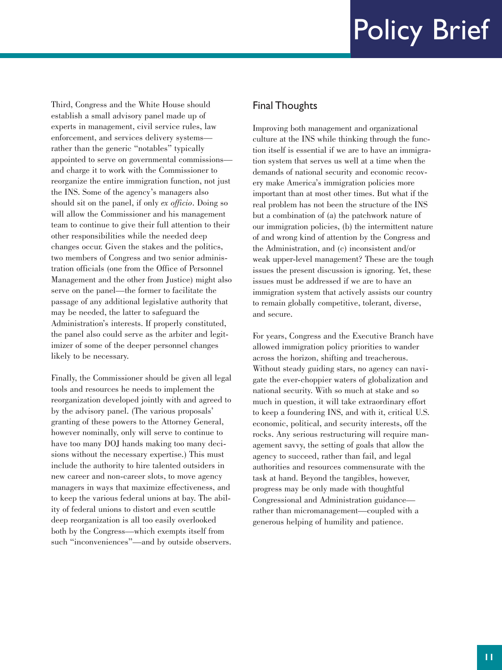Third, Congress and the White House should establish a small advisory panel made up of experts in management, civil service rules, law enforcement, and services delivery systems rather than the generic "notables" typically appointed to serve on governmental commissions and charge it to work with the Commissioner to reorganize the entire immigration function, not just the INS. Some of the agency's managers also should sit on the panel, if only *ex officio*. Doing so will allow the Commissioner and his management team to continue to give their full attention to their other responsibilities while the needed deep changes occur. Given the stakes and the politics, two members of Congress and two senior administration officials (one from the Office of Personnel Management and the other from Justice) might also serve on the panel—the former to facilitate the passage of any additional legislative authority that may be needed, the latter to safeguard the Administration's interests. If properly constituted, the panel also could serve as the arbiter and legitimizer of some of the deeper personnel changes likely to be necessary.

Finally, the Commissioner should be given all legal tools and resources he needs to implement the reorganization developed jointly with and agreed to by the advisory panel. (The various proposals' granting of these powers to the Attorney General, however nominally, only will serve to continue to have too many DOJ hands making too many decisions without the necessary expertise.) This must include the authority to hire talented outsiders in new career and non-career slots, to move agency managers in ways that maximize effectiveness, and to keep the various federal unions at bay. The ability of federal unions to distort and even scuttle deep reorganization is all too easily overlooked both by the Congress—which exempts itself from such "inconveniences"—and by outside observers.

### Final Thoughts

Improving both management and organizational culture at the INS while thinking through the function itself is essential if we are to have an immigration system that serves us well at a time when the demands of national security and economic recovery make America's immigration policies more important than at most other times. But what if the real problem has not been the structure of the INS but a combination of (a) the patchwork nature of our immigration policies, (b) the intermittent nature of and wrong kind of attention by the Congress and the Administration, and (c) inconsistent and/or weak upper-level management? These are the tough issues the present discussion is ignoring. Yet, these issues must be addressed if we are to have an immigration system that actively assists our country to remain globally competitive, tolerant, diverse, and secure.

For years, Congress and the Executive Branch have allowed immigration policy priorities to wander across the horizon, shifting and treacherous. Without steady guiding stars, no agency can navigate the ever-choppier waters of globalization and national security. With so much at stake and so much in question, it will take extraordinary effort to keep a foundering INS, and with it, critical U.S. economic, political, and security interests, off the rocks. Any serious restructuring will require management savvy, the setting of goals that allow the agency to succeed, rather than fail, and legal authorities and resources commensurate with the task at hand. Beyond the tangibles, however, progress may be only made with thoughtful Congressional and Administration guidance rather than micromanagement—coupled with a generous helping of humility and patience.